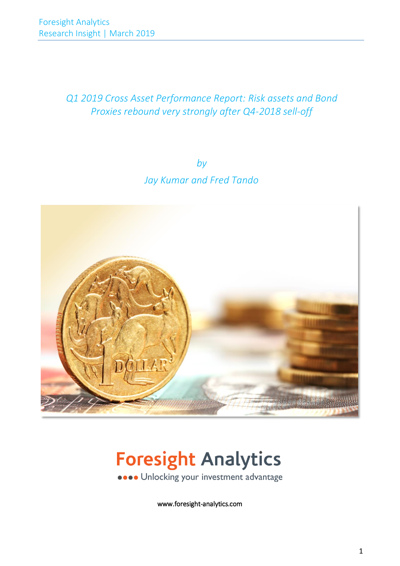## *Q1 2019 Cross Asset Performance Report: Risk assets and Bond Proxies rebound very strongly after Q4-2018 sell-off*

*by Jay Kumar and Fred Tando*



# **Foresight Analytics ....** Unlocking your investment advantage

www.foresight-analytics.com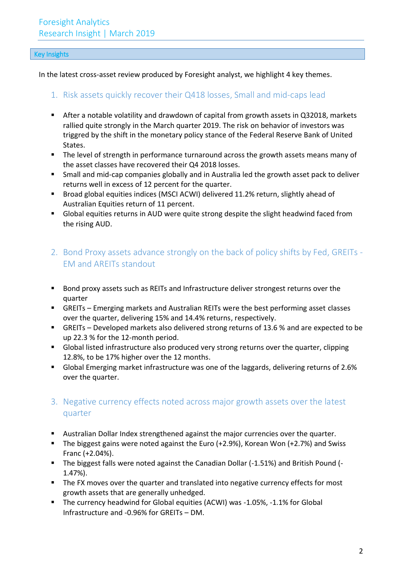### Key Insights

In the latest cross-asset review produced by Foresight analyst, we highlight 4 key themes.

## 1. Risk assets quickly recover their Q418 losses, Small and mid-caps lead

- After a notable volatility and drawdown of capital from growth assets in Q32018, markets rallied quite strongly in the March quarter 2019. The risk on behavior of investors was triggred by the shift in the monetary policy stance of the Federal Reserve Bank of United States.
- The level of strength in performance turnaround across the growth assets means many of the asset classes have recovered their Q4 2018 losses.
- Small and mid-cap companies globally and in Australia led the growth asset pack to deliver returns well in excess of 12 percent for the quarter.
- Broad global equities indices (MSCI ACWI) delivered 11.2% return, slightly ahead of Australian Equities return of 11 percent.
- Global equities returns in AUD were quite strong despite the slight headwind faced from the rising AUD.
- 2. Bond Proxy assets advance strongly on the back of policy shifts by Fed, GREITs EM and AREITs standout
- Bond proxy assets such as REITs and Infrastructure deliver strongest returns over the quarter
- GREITs Emerging markets and Australian REITs were the best performing asset classes over the quarter, delivering 15% and 14.4% returns, respectively.
- GREITs Developed markets also delivered strong returns of 13.6 % and are expected to be up 22.3 % for the 12-month period.
- Global listed infrastructure also produced very strong returns over the quarter, clipping 12.8%, to be 17% higher over the 12 months.
- Global Emerging market infrastructure was one of the laggards, delivering returns of 2.6% over the quarter.

## 3. Negative currency effects noted across major growth assets over the latest quarter

- Australian Dollar Index strengthened against the major currencies over the quarter.
- The biggest gains were noted against the Euro (+2.9%), Korean Won (+2.7%) and Swiss Franc (+2.04%).
- The biggest falls were noted against the Canadian Dollar (-1.51%) and British Pound (-1.47%).
- The FX moves over the quarter and translated into negative currency effects for most growth assets that are generally unhedged.
- The currency headwind for Global equities (ACWI) was -1.05%, -1.1% for Global Infrastructure and -0.96% for GREITs – DM.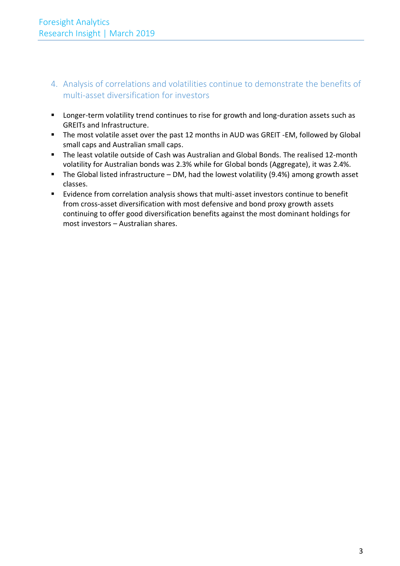- 4. Analysis of correlations and volatilities continue to demonstrate the benefits of multi-asset diversification for investors
- Longer-term volatility trend continues to rise for growth and long-duration assets such as GREITs and Infrastructure.
- The most volatile asset over the past 12 months in AUD was GREIT -EM, followed by Global small caps and Australian small caps.
- The least volatile outside of Cash was Australian and Global Bonds. The realised 12-month volatility for Australian bonds was 2.3% while for Global bonds (Aggregate), it was 2.4%.
- The Global listed infrastructure DM, had the lowest volatility (9.4%) among growth asset classes.
- Evidence from correlation analysis shows that multi-asset investors continue to benefit from cross-asset diversification with most defensive and bond proxy growth assets continuing to offer good diversification benefits against the most dominant holdings for most investors – Australian shares.